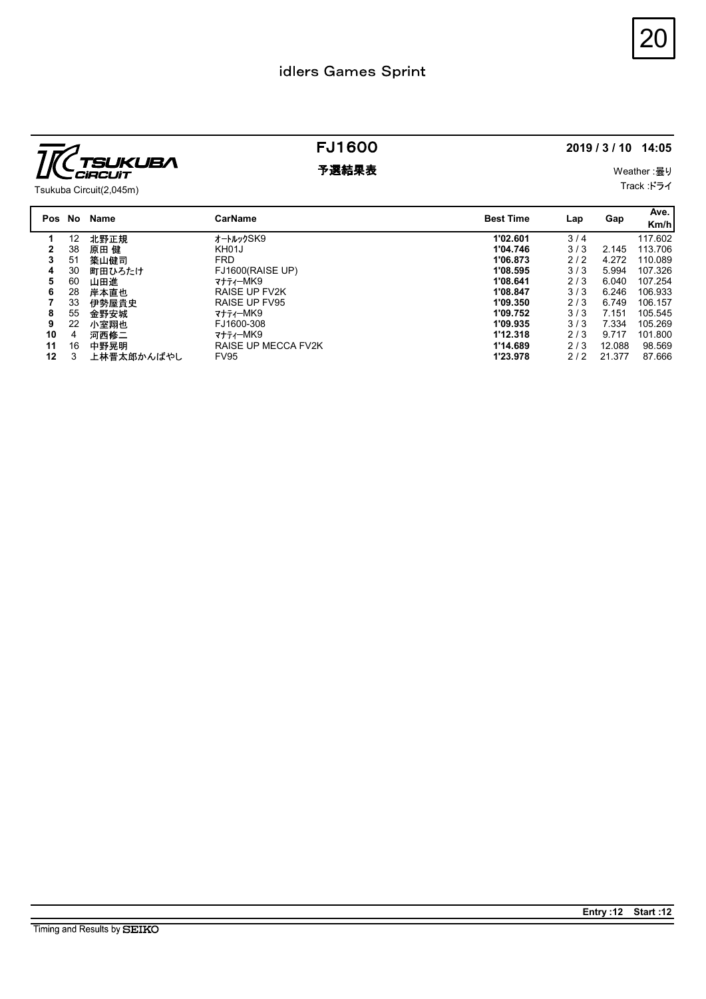

|                                                            | idlers Games Sprint |                           |                     | 20   |
|------------------------------------------------------------|---------------------|---------------------------|---------------------|------|
|                                                            | <b>FJ1600</b>       |                           | 2019 / 3 / 10 14:05 |      |
| <b>SUKUBA</b><br><b>CiRCUIT</b><br>Tsukuba Circuit(2,045m) | 予選結果表               | Weather: 曇り<br>Track :ドライ |                     |      |
|                                                            |                     |                           |                     | Ave. |
| Pos No Name                                                | <b>CarName</b>      | <b>Best Time</b>          | Gap<br>Lap          | Km/h |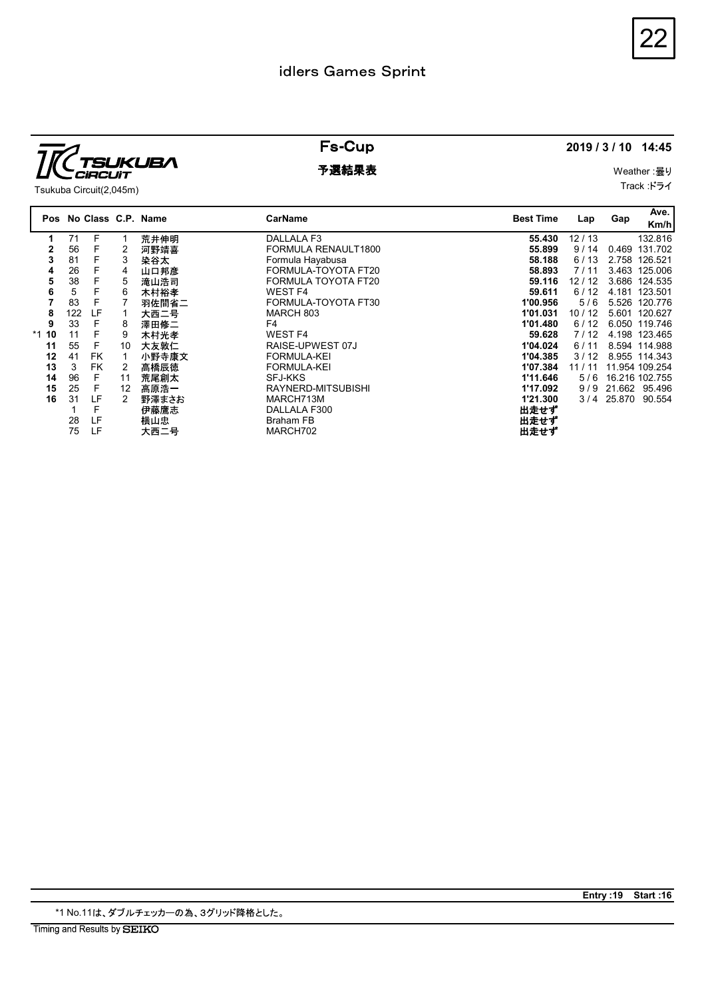

|                                                                                                                                                                                                                                                                                                                                                                                                                                                                                                         | idlers Games Sprint                                                                                                                                                                                                                                   |                                                                                                                                                                    |                                                                                                    |     |                                                                                                                                                                                                                                                                             |
|---------------------------------------------------------------------------------------------------------------------------------------------------------------------------------------------------------------------------------------------------------------------------------------------------------------------------------------------------------------------------------------------------------------------------------------------------------------------------------------------------------|-------------------------------------------------------------------------------------------------------------------------------------------------------------------------------------------------------------------------------------------------------|--------------------------------------------------------------------------------------------------------------------------------------------------------------------|----------------------------------------------------------------------------------------------------|-----|-----------------------------------------------------------------------------------------------------------------------------------------------------------------------------------------------------------------------------------------------------------------------------|
|                                                                                                                                                                                                                                                                                                                                                                                                                                                                                                         | <b>Fs-Cup</b>                                                                                                                                                                                                                                         |                                                                                                                                                                    | 2019 / 3 / 10 14:45                                                                                |     |                                                                                                                                                                                                                                                                             |
| <b>TSUKUBA</b><br><b>CiRCUIT</b><br>Tsukuba Circuit(2,045m)                                                                                                                                                                                                                                                                                                                                                                                                                                             | 予選結果表                                                                                                                                                                                                                                                 | Weather: 曇り<br>Track :ドライ                                                                                                                                          |                                                                                                    |     |                                                                                                                                                                                                                                                                             |
| Pos No Class C.P. Name                                                                                                                                                                                                                                                                                                                                                                                                                                                                                  | <b>CarName</b>                                                                                                                                                                                                                                        | <b>Best Time</b>                                                                                                                                                   | Lap                                                                                                | Gap | Ave.<br>Km/h                                                                                                                                                                                                                                                                |
| 71<br>F<br>荒井伸明<br>1<br>-1<br>F<br>$\overline{2}$<br>$\mathbf{2}$<br>56<br>河野靖喜<br>F<br>3<br>81<br>3<br>染谷太<br>F<br>26<br>山口邦彦<br>4<br>4<br>F<br>38<br>5<br>滝山浩司<br>5<br>F.<br>5<br>6<br>木村裕孝<br>6<br>F<br>$\overline{7}$<br>83<br>$\overline{7}$<br>羽佐間省二<br>LF<br>8<br>122<br>大西二号<br>$\mathbf{1}$<br>F<br>9<br>33<br>8<br>澤田修二<br>F<br>11<br>9<br>$*1$ 10<br>木村光孝<br>F<br>55<br>10<br>11<br>大友敦仁<br>12<br><b>FK</b><br>41<br>小野寺康文<br>$\mathbf{1}$<br>3<br><b>FK</b><br>$\overline{2}$<br>13<br>高橋辰徳 | DALLALA F3<br>FORMULA RENAULT1800<br>Formula Hayabusa<br>FORMULA-TOYOTA FT20<br>FORMULA TOYOTA FT20<br>WEST F4<br>FORMULA-TOYOTA FT30<br>MARCH 803<br>F4<br><b>WEST F4</b><br>RAISE-UPWEST 07J<br><b>FORMULA-KEI</b><br>FORMULA-KEI<br><b>SFJ-KKS</b> | 55.430<br>55.899<br>58.188<br>58.893<br>59.116<br>59.611<br>1'00.956<br>1'01.031<br>1'01.480<br>59.628<br>1'04.024<br>1'04.385<br>1'07.384<br>1'11.646<br>1'17.092 | 12/13<br>9/14<br>6/13<br>7/11<br>12/12<br>$6/12$<br>5/6<br>10/12<br>$6/12$<br>7/12<br>6/11<br>3/12 |     | 132.816<br>0.469 131.702<br>2.758 126.521<br>3.463 125.006<br>3.686 124.535<br>4.181 123.501<br>5.526 120.776<br>5.601 120.627<br>6.050 119.746<br>4.198 123.465<br>8.594 114.988<br>8.955 114.343<br>11 / 11 11.954 109.254<br>5 / 6 16.216 102.755<br>9 / 9 21.662 95.496 |

\*1 No.11は、ダブルチェッカーの為、3グリッド降格とした。